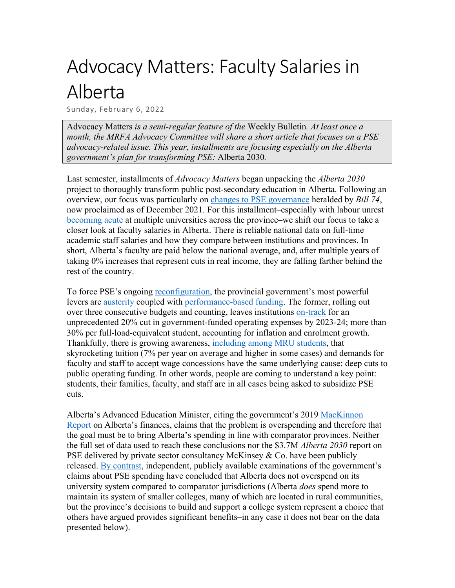## Advocacy Matters: Faculty Salaries in Alberta

Sunday, February 6, 2022

Advocacy Matters *is a semi-regular feature of the* Weekly Bulletin*. At least once a month, the MRFA Advocacy Committee will share a short article that focuses on a PSE advocacy-related issue. This year, installments are focusing especially on the Alberta government's plan for transforming PSE:* Alberta 2030*.*

Last semester, installments of *Advocacy Matters* began unpacking the *Alberta 2030* project to thoroughly transform public post-secondary education in Alberta. Following an overview, our focus was particularly on [changes to PSE governance](https://mrfa.net/wp-content/uploads/2021/11/2021-11-18-Advocacy-Matters-2.pdf) heralded by *Bill 74*, now proclaimed as of December 2021. For this installment–especially with labour unrest [becoming acute](https://calgaryherald.com/news/local-news/lethbridge-university-vote-in-favour-of-strike-action) at multiple universities across the province–we shift our focus to take a closer look at faculty salaries in Alberta. There is reliable national data on full-time academic staff salaries and how they compare between institutions and provinces. In short, Alberta's faculty are paid below the national average, and, after multiple years of taking 0% increases that represent cuts in real income, they are falling farther behind the rest of the country.

To force PSE's ongoing [reconfiguration,](https://www.universityaffairs.ca/opinion/in-my-opinion/canadian-universities-are-quietly-being-repurposed/) the provincial government's most powerful levers are [austerity](https://www.caut.ca/latest/2021/03/caut-condemns-alberta-budget-2021s-further-cuts-post-secondary-education) coupled with [performance-based funding.](https://academicmatters.ca/the-ugly-side-of-performance-based-funding-for-universities-2/) The former, rolling out over three consecutive budgets and counting, leaves institutions [on-track](https://www.parklandinstitute.ca/roadmap_or_roadkill) for an unprecedented 20% cut in government-funded operating expenses by 2023-24; more than 30% per full-load-equivalent student, accounting for inflation and enrolment growth. Thankfully, there is growing awareness, [including among MRU students,](https://www.cbc.ca/news/canada/calgary/mru-student-leaders-blame-alberta-government-cuts-to-post-secondary-for-potential-faculty-strike-1.6339109) that skyrocketing tuition (7% per year on average and higher in some cases) and demands for faculty and staff to accept wage concessions have the same underlying cause: deep cuts to public operating funding. In other words, people are coming to understand a key point: students, their families, faculty, and staff are in all cases being asked to subsidize PSE cuts.

Alberta's Advanced Education Minister, citing the government's 2019 [MacKinnon](https://www.alberta.ca/mackinnon-report-on-finances.aspx)  [Report](https://www.alberta.ca/mackinnon-report-on-finances.aspx) on Alberta's finances, claims that the problem is overspending and therefore that the goal must be to bring Alberta's spending in line with comparator provinces. Neither the full set of data used to reach these conclusions nor the \$3.7M *Alberta 2030* report on PSE delivered by private sector consultancy McKinsey  $& Co.$  have been publicly released. [By contrast,](https://www.parklandinstitute.ca/roadmap_or_roadkill) independent, publicly available examinations of the government's claims about PSE spending have concluded that Alberta does not overspend on its university system compared to comparator jurisdictions (Alberta *does* spend more to maintain its system of smaller colleges, many of which are located in rural communities, but the province's decisions to build and support a college system represent a choice that others have argued provides significant benefits–in any case it does not bear on the data presented below).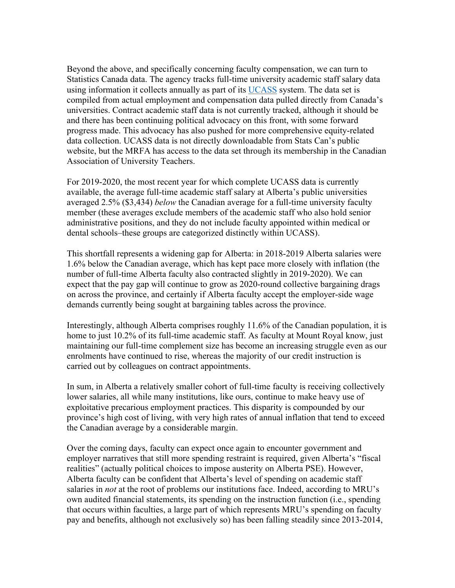Beyond the above, and specifically concerning faculty compensation, we can turn to Statistics Canada data. The agency tracks full-time university academic staff salary data using information it collects annually as part of its [UCASS](https://www23.statcan.gc.ca/imdb/p2SV.pl?Function=getSurvey&SDDS=3101) system. The data set is compiled from actual employment and compensation data pulled directly from Canada's universities. Contract academic staff data is not currently tracked, although it should be and there has been continuing political advocacy on this front, with some forward progress made. This advocacy has also pushed for more comprehensive equity-related data collection. UCASS data is not directly downloadable from Stats Can's public website, but the MRFA has access to the data set through its membership in the Canadian Association of University Teachers.

For 2019-2020, the most recent year for which complete UCASS data is currently available, the average full-time academic staff salary at Alberta's public universities averaged 2.5% (\$3,434) *below* the Canadian average for a full-time university faculty member (these averages exclude members of the academic staff who also hold senior administrative positions, and they do not include faculty appointed within medical or dental schools–these groups are categorized distinctly within UCASS).

This shortfall represents a widening gap for Alberta: in 2018-2019 Alberta salaries were 1.6% below the Canadian average, which has kept pace more closely with inflation (the number of full-time Alberta faculty also contracted slightly in 2019-2020). We can expect that the pay gap will continue to grow as 2020-round collective bargaining drags on across the province, and certainly if Alberta faculty accept the employer-side wage demands currently being sought at bargaining tables across the province.

Interestingly, although Alberta comprises roughly 11.6% of the Canadian population, it is home to just 10.2% of its full-time academic staff. As faculty at Mount Royal know, just maintaining our full-time complement size has become an increasing struggle even as our enrolments have continued to rise, whereas the majority of our credit instruction is carried out by colleagues on contract appointments.

In sum, in Alberta a relatively smaller cohort of full-time faculty is receiving collectively lower salaries, all while many institutions, like ours, continue to make heavy use of exploitative precarious employment practices. This disparity is compounded by our province's high cost of living, with very high rates of annual inflation that tend to exceed the Canadian average by a considerable margin.

Over the coming days, faculty can expect once again to encounter government and employer narratives that still more spending restraint is required, given Alberta's "fiscal realities" (actually political choices to impose austerity on Alberta PSE). However, Alberta faculty can be confident that Alberta's level of spending on academic staff salaries in *not* at the root of problems our institutions face. Indeed, according to MRU's own audited financial statements, its spending on the instruction function (i.e., spending that occurs within faculties, a large part of which represents MRU's spending on faculty pay and benefits, although not exclusively so) has been falling steadily since 2013-2014,